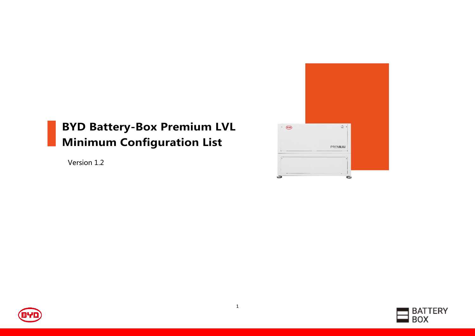# BYD Battery-Box Premium LVL Minimum Configuration List

Version 1.2





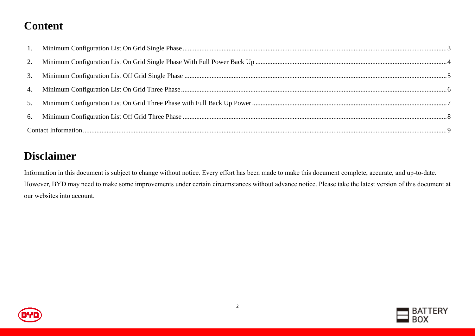## **Content**

### **Disclaimer**

Information in this document is subject to change without notice. Every effort has been made to make this document complete, accurate, and up-to-date. However, BYD may need to make some improvements under certain circumstances without advance notice. Please take the latest version of this document at our websites into account.



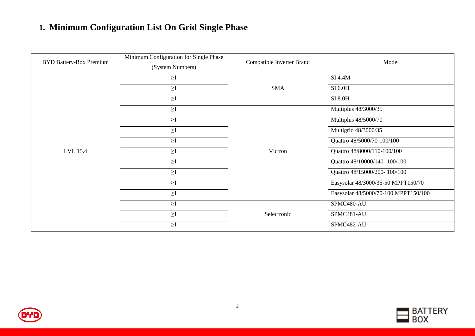#### <span id="page-2-0"></span>**1. Minimum Configuration List On Grid Single Phase**

| <b>BYD Battery-Box Premium</b> | Minimum Configuration for Single Phase<br>(System Numbers) | Compatible Inverter Brand | Model                                |
|--------------------------------|------------------------------------------------------------|---------------------------|--------------------------------------|
|                                | $\geq$ $\!1$                                               |                           | SI 4.4M                              |
|                                | $\geq$ 1                                                   | <b>SMA</b>                | SI 6.0H                              |
|                                | $\geq$ l                                                   |                           | <b>SI 8.0H</b>                       |
|                                | $\geq$ 1                                                   |                           | Multiplus 48/3000/35                 |
|                                | $\geq$ 1                                                   |                           | Multiplus 48/5000/70                 |
|                                | $\geq$ 1                                                   |                           | Multigrid 48/3000/35                 |
|                                | $\geq$ l                                                   |                           | Quattro 48/5000/70-100/100           |
| LVL 15.4                       | $\geq$ 1                                                   | Victron                   | Quattro 48/8000/110-100/100          |
|                                | $\geq$ 1                                                   |                           | Quattro 48/10000/140-100/100         |
|                                | $\geq$ 1                                                   |                           | Quattro 48/15000/200-100/100         |
|                                | $\geq$ 1                                                   |                           | Easysolar 48/3000/35-50 MPPT150/70   |
|                                | $\geq$ 1                                                   |                           | Easysolar 48/5000/70-100 MPPT150/100 |
|                                | $\geq$ 1                                                   |                           | SPMC480-AU                           |
|                                | $\geq$ 1                                                   | Selectronic               | SPMC481-AU                           |
|                                | $\geq$ 1                                                   |                           | SPMC482-AU                           |



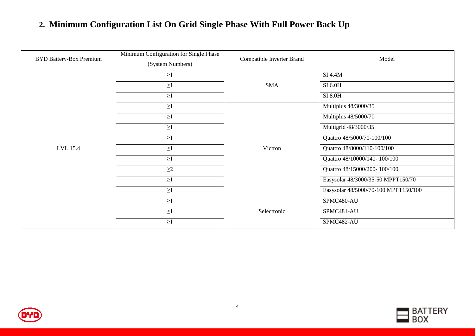#### <span id="page-3-0"></span>**2. Minimum Configuration List On Grid Single Phase With Full Power Back Up**

| <b>BYD Battery-Box Premium</b> | Minimum Configuration for Single Phase<br>(System Numbers) | Compatible Inverter Brand | Model                                |
|--------------------------------|------------------------------------------------------------|---------------------------|--------------------------------------|
|                                | $\geq$ 1                                                   |                           | $SI$ 4.4 $M$                         |
|                                | $\geq1$                                                    | <b>SMA</b>                | SI 6.0H                              |
|                                | $\geq$ 1                                                   |                           | SI 8.0H                              |
|                                | $\geq$ 1                                                   |                           | Multiplus 48/3000/35                 |
|                                | $\geq$ 1                                                   |                           | Multiplus 48/5000/70                 |
|                                | $\geq$ 1                                                   |                           | Multigrid 48/3000/35                 |
|                                | $\geq$ 1                                                   | Victron                   | Quattro 48/5000/70-100/100           |
| LVL 15.4                       | $\geq$ 1                                                   |                           | Quattro 48/8000/110-100/100          |
|                                | $\geq$ 1                                                   |                           | Quattro 48/10000/140-100/100         |
|                                | $\geq$ 2                                                   |                           | Quattro 48/15000/200-100/100         |
|                                | $\geq$ 1                                                   |                           | Easysolar 48/3000/35-50 MPPT150/70   |
|                                | $\geq$ 1                                                   |                           | Easysolar 48/5000/70-100 MPPT150/100 |
|                                | $\geq$ 1                                                   |                           | SPMC480-AU                           |
|                                | $\geq$ 1                                                   | Selectronic               | SPMC481-AU                           |
|                                | $\geq$ 1                                                   |                           | SPMC482-AU                           |



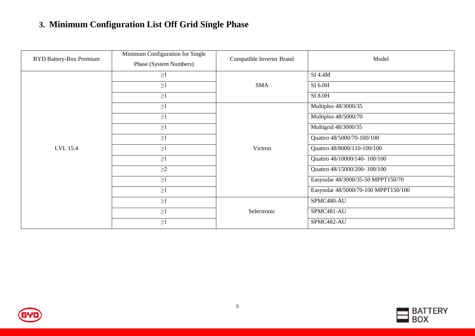### <span id="page-4-0"></span>**3. Minimum Configuration List Off Grid Single Phase**

| <b>BYD Battery-Box Premium</b> | Minimum Configuration for Single<br>Phase (System Numbers) |             | Model                                |  |
|--------------------------------|------------------------------------------------------------|-------------|--------------------------------------|--|
|                                | $\geq$ 1                                                   |             | <b>SI 4.4M</b>                       |  |
|                                | $\geq$                                                     | <b>SMA</b>  | SI 6.0H                              |  |
|                                | $\geq$ 1                                                   |             | SI 8.0H                              |  |
|                                | $\geq$ 1                                                   |             | Multiplus 48/3000/35                 |  |
|                                | $\geq$ 1                                                   |             | Multiplus 48/5000/70                 |  |
|                                | $\geq$ 1                                                   | Victron     | Multigrid 48/3000/35                 |  |
|                                | $\geq$ 1                                                   |             | Quattro 48/5000/70-100/100           |  |
| LVL 15.4                       | $\geq$                                                     |             | Quattro 48/8000/110-100/100          |  |
|                                | $\geq$ 1                                                   |             | Quattro 48/10000/140-100/100         |  |
|                                | $\geq$ 2                                                   |             | Quattro 48/15000/200-100/100         |  |
|                                | $\geq$ 1                                                   |             | Easysolar 48/3000/35-50 MPPT150/70   |  |
|                                | $\geq$ 1                                                   |             | Easysolar 48/5000/70-100 MPPT150/100 |  |
|                                | $\geq$ 1                                                   |             | SPMC480-AU                           |  |
|                                | $\geq$                                                     | Selectronic | SPMC481-AU                           |  |
|                                | $\geq$ 1                                                   |             | SPMC482-AU                           |  |



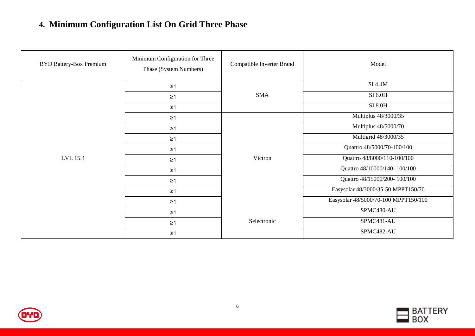#### <span id="page-5-0"></span>**4. Minimum Configuration List On Grid Three Phase**

| <b>BYD Battery-Box Premium</b> | Minimum Configuration for Three<br>Phase (System Numbers) |             | Model                                |
|--------------------------------|-----------------------------------------------------------|-------------|--------------------------------------|
|                                | $\geq 1$                                                  |             | $SI$ 4.4 $M$                         |
|                                | $\geq$ 1                                                  | <b>SMA</b>  | SI 6.0H                              |
|                                | $\geq$ 1                                                  |             | <b>SI 8.0H</b>                       |
|                                | $\geq 1$                                                  |             | Multiplus 48/3000/35                 |
|                                | $\geq 1$                                                  |             | Multiplus 48/5000/70                 |
|                                | $\geq$ 1                                                  | Victron     | Multigrid 48/3000/35                 |
|                                | $\geq 1$                                                  |             | Quattro 48/5000/70-100/100           |
| LVL 15.4                       | $\geq$ 1                                                  |             | Quattro 48/8000/110-100/100          |
|                                | $\geq 1$                                                  |             | Quattro 48/10000/140-100/100         |
|                                | $\geq 1$                                                  |             | Quattro 48/15000/200-100/100         |
|                                | $\geq 1$                                                  |             | Easysolar 48/3000/35-50 MPPT150/70   |
|                                | $\geq$ 1                                                  |             | Easysolar 48/5000/70-100 MPPT150/100 |
|                                | $\geq$ 1                                                  | Selectronic | SPMC480-AU                           |
|                                | $\geq 1$                                                  |             | SPMC481-AU                           |
|                                | $\geq 1$                                                  |             | SPMC482-AU                           |



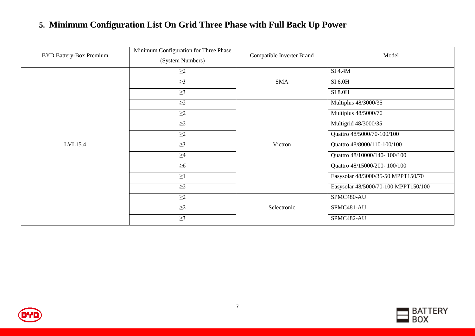### <span id="page-6-0"></span>**5. Minimum Configuration List On Grid Three Phase with Full Back Up Power**

| <b>BYD Battery-Box Premium</b> | Minimum Configuration for Three Phase<br>(System Numbers) | Compatible Inverter Brand | Model                                |
|--------------------------------|-----------------------------------------------------------|---------------------------|--------------------------------------|
|                                | $\geq$ 2                                                  |                           | SI 4.4M                              |
|                                | $\geq$ 3                                                  | <b>SMA</b>                | SI 6.0H                              |
|                                | $\geq$ 3                                                  |                           | SI 8.0H                              |
|                                | $\geq$ 2                                                  |                           | Multiplus 48/3000/35                 |
|                                | $\geq$ 2                                                  |                           | Multiplus 48/5000/70                 |
|                                | $\geq$ 2                                                  |                           | Multigrid 48/3000/35                 |
|                                | $\geq$ 2                                                  |                           | Quattro 48/5000/70-100/100           |
| LVL15.4                        | $\geq$ 3                                                  | Victron                   | Quattro 48/8000/110-100/100          |
|                                | $\geq 4$                                                  |                           | Quattro 48/10000/140-100/100         |
|                                | $\geq 6$                                                  |                           | Quattro 48/15000/200-100/100         |
|                                | $\geq$ 1                                                  |                           | Easysolar 48/3000/35-50 MPPT150/70   |
|                                | $\geq$ 2                                                  |                           | Easysolar 48/5000/70-100 MPPT150/100 |
|                                | $\geq$ 2                                                  |                           | SPMC480-AU                           |
|                                | $\geq$ 2                                                  | Selectronic               | SPMC481-AU                           |
|                                | $\geq$ 3                                                  |                           | SPMC482-AU                           |



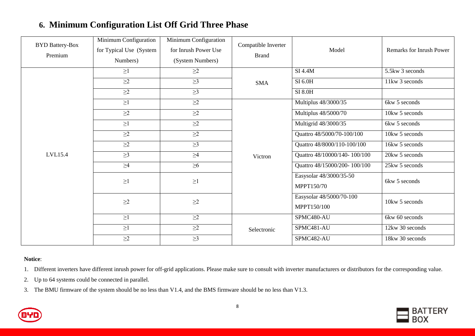| <b>BYD Battery-Box</b><br>Premium | Minimum Configuration<br>for Typical Use (System<br>Numbers) | Minimum Configuration<br>for Inrush Power Use<br>(System Numbers) | Compatible Inverter<br><b>Brand</b> | Model                                   | Remarks for Inrush Power |
|-----------------------------------|--------------------------------------------------------------|-------------------------------------------------------------------|-------------------------------------|-----------------------------------------|--------------------------|
|                                   | $\geq$ 1                                                     | $\geq$ 2                                                          |                                     | SI 4.4M                                 | 5.5kw 3 seconds          |
|                                   | $\geq$ 2                                                     | $\geq$ 3                                                          | <b>SMA</b>                          | SI 6.0H                                 | 11kw 3 seconds           |
|                                   | $\geq$ 2                                                     | $\geq$ 3                                                          |                                     | SI 8.0H                                 |                          |
|                                   | $\geq$ 1                                                     | $\geq$ 2                                                          |                                     | Multiplus 48/3000/35                    | 6kw 5 seconds            |
|                                   | $\geq$ 2                                                     | $\geq$ 2                                                          |                                     | Multiplus 48/5000/70                    | 10kw 5 seconds           |
|                                   | $\geq$ l                                                     | $\geq$ 2                                                          | Victron                             | Multigrid 48/3000/35                    | $6kw$ 5 seconds          |
|                                   | $\geq$ 2                                                     | $\geq\!\!2$                                                       |                                     | Quattro 48/5000/70-100/100              | 10kw 5 seconds           |
|                                   | $\geq$ 2                                                     | $\geq$ 3                                                          |                                     | Quattro 48/8000/110-100/100             | 16kw 5 seconds           |
| LVL15.4                           | $\geq$ 3                                                     | $\geq\!\!4$                                                       |                                     | Quattro 48/10000/140-100/100            | 20kw 5 seconds           |
|                                   | $\geq 4$                                                     | $\geq 6$                                                          |                                     | Quattro 48/15000/200-100/100            | 25kw 5 seconds           |
|                                   | $\geq$ 1                                                     | $\geq$ 1                                                          |                                     | Easysolar 48/3000/35-50<br>MPPT150/70   | 6kw 5 seconds            |
|                                   | $\geq\!\!2$                                                  | $\geq\!\!2$                                                       |                                     | Easysolar 48/5000/70-100<br>MPPT150/100 | 10kw 5 seconds           |
|                                   | $\geq$ 1                                                     | $\geq\!\!2$                                                       | Selectronic                         | SPMC480-AU                              | 6kw 60 seconds           |
|                                   | $\geq$ 1                                                     | $\geq$ 2                                                          |                                     | SPMC481-AU                              | 12kw 30 seconds          |
|                                   | $\geq$ 2                                                     | $\geq$ 3                                                          |                                     | SPMC482-AU                              | 18kw 30 seconds          |

#### <span id="page-7-0"></span>**6. Minimum Configuration List Off Grid Three Phase**

**Notice**:

1. Different inverters have different inrush power for off-grid applications. Please make sure to consult with inverter manufacturers or distributors for the corresponding value.

2. Up to 64 systems could be connected in parallel.

3. The BMU firmware of the system should be no less than V1.4, and the BMS firmware should be no less than V1.3.